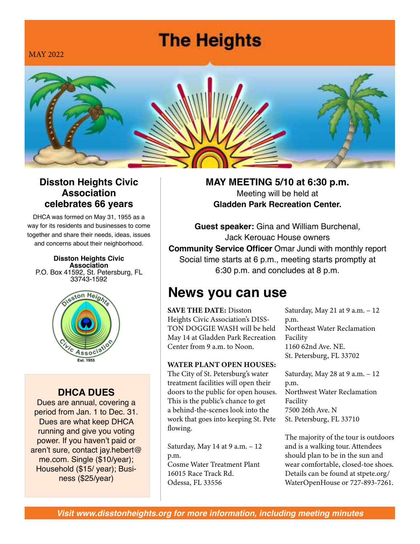# **The Heights**

MAY 2022



#### **Disston Heights Civic Association celebrates 66 years**

DHCA was formed on May 31, 1955 as a way for its residents and businesses to come together and share their needs, ideas, issues and concerns about their neighborhood.

**Disston Heights Civic Association** P.O. Box 41592, St. Petersburg, FL 33743-1592



#### **DHCA DUES**

Dues are annual, covering a period from Jan. 1 to Dec. 31. Dues are what keep DHCA running and give you voting power. If you haven't paid or aren't sure, contact jay.hebert@ me.com. Single (\$10/year); Household (\$15/ year); Business (\$25/year)

**MAY MEETING 5/10 at 6:30 p.m.** Meeting will be held at **Gladden Park Recreation Center.** 

**Guest speaker:** Gina and William Burchenal, Jack Kerouac House owners **Community Service Officer** Omar Jundi with monthly report Social time starts at 6 p.m., meeting starts promptly at 6:30 p.m. and concludes at 8 p.m.

## **News you can use**

SAVE THE DATE: Disston Heights Civic Association's DISS-TON DOGGIE WASH will be held May 14 at Gladden Park Recreation Center from 9 a.m. to Noon.

#### WATER PLANT OPEN HOUSES:

The City of St. Petersburg's water treatment facilities will open their doors to the public for open houses. This is the public's chance to get a behind-the-scenes look into the work that goes into keeping St. Pete flowing.

Saturday, May 14 at 9 a.m. – 12 p.m. Cosme Water Treatment Plant 16015 Race Track Rd. Odessa, FL 33556

Saturday, May 21 at 9 a.m. – 12 p.m. Northeast Water Reclamation Facility 1160 62nd Ave. NE. St. Petersburg, FL 33702

Saturday, May 28 at 9 a.m. – 12 p.m. Northwest Water Reclamation Facility 7500 26th Ave. N St. Petersburg, FL 33710

The majority of the tour is outdoors and is a walking tour. Attendees should plan to be in the sun and wear comfortable, closed-toe shoes. Details can be found at stpete.org/ WaterOpenHouse or 727-893-7261.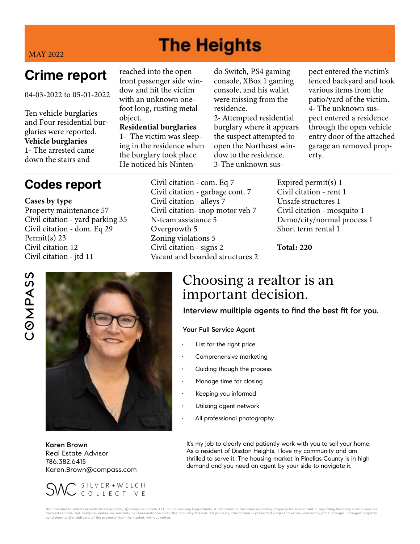# **The Heights**

MAY 2022

## **Crime report**

04-03-2022 to 05-01-2022

Ten vehicle burglaries and Four residential burglaries were reported. Vehicle burglaries 1- The arrested came down the stairs and

reached into the open front passenger side window and hit the victim with an unknown onefoot long, rusting metal object.

Residential burglaries 1- The victim was sleeping in the residence when the burglary took place. He noticed his Nintendo Switch, PS4 gaming console, XBox 1 gaming console, and his wallet were missing from the residence.

2- Attempted residential burglary where it appears the suspect attempted to open the Northeast window to the residence. 3-The unknown sus-

pect entered the victim's fenced backyard and took various items from the patio/yard of the victim. 4- The unknown suspect entered a residence through the open vehicle entry door of the attached garage an removed property.

### **Codes report**

Cases by type Property maintenance 57 Civil citation - yard parking 35 Civil citation - dom. Eq 29 Permit(s) 23 Civil citation 12 Civil citation - jtd 11

Civil citation - com. Eq 7 Civil citation - garbage cont. 7 Civil citation - alleys 7 Civil citation- inop motor veh 7 N-team assistance 5 Overgrowth 5 Zoning violations 5 Civil citation - signs 2 Vacant and boarded structures 2

Expired permit(s) 1 Civil citation - rent 1 Unsafe structures 1 Civil citation - mosquito 1 Demo/city/normal process 1 Short term rental 1

Total: 220

# **S** COMPAS



Karen Brown Real Estate Advisor 786.382.6415 Karen.Brown@compass.com



#### Choosing a realtor is an important decision.

Interview muiltiple agents to find the best fit for you.

#### Your Full Service Agent

- List for the right price
- Comprehensive marketing
- Guiding though the process
- Manage time for closing
- Keeping you informed
- Utilizing agent network
- All professional photography

It's my job to clearly and patiently work with you to sell your home. As a resident of Disston Heights, I love my community and am thrilled to serve it. The housing market in Pinellas County is in high demand and you need an agent by your side to navigate it.

Not intended to solicit currently listed property. © Compass Florida, LLC. Equal Housing Opportunity. All information furnished regarding property for sale or rent or regarding financing is from sources<br>deemed reliable, bu conditions, and withdrawal of the property from the market, without notice.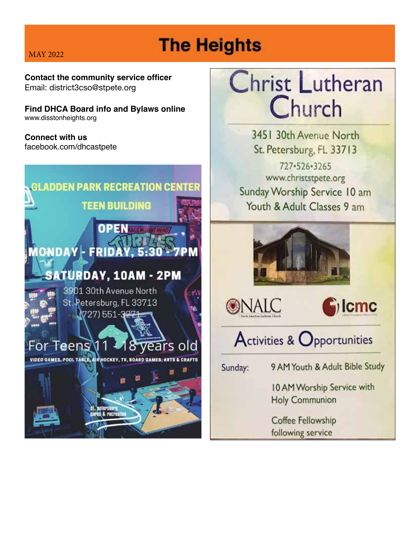# **The Heights**

**Contact the community service officer**  Email: district3cso@stpete.org

**Find DHCA Board info and Bylaws online** www.disstonheights.org

**Connect with us**  facebook.com/dhcastpete



# Christ Lutheran Church

3451 30th Avenue North St. Petersburg, FL 33713 727-526-3265 www.christstpete.org Sunday Worship Service 10 am Youth & Adult Classes 9 am







Activities & Opportunities

Sunday:

9 AM Youth & Adult Bible Study

10 AM Worship Service with **Holy Communion** 

Coffee Fellowship following service

#### MAY 2022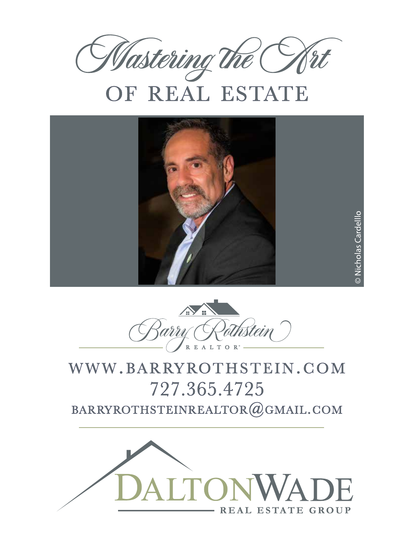

# OF REAL ESTATE





## WWW.BARRYROTHSTEIN.COM 727.365.4725 BARRYROTHSTEINREALTOR@GMAIL.COM

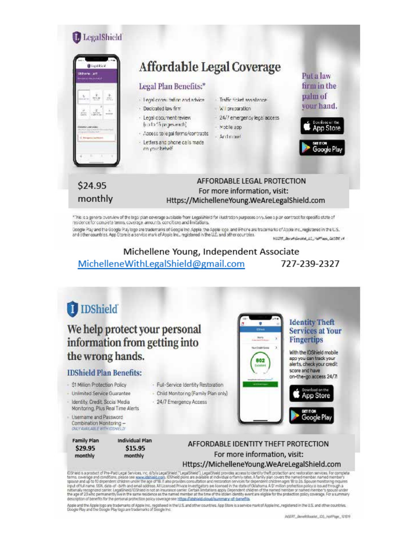

Google Play and the Google Play logo are trademarks of Google Inc. Apple, the Apple logo, and iPhone are trademarks of Apple Inc., registered in the U.S.<br>and other countries, App Store is a service mark of Apple Inc., regi W2211\_BenefisionMal\_LC\_NalPlace\_060310 /4

#### Michellene Young, Independent Associate MichelleneWithLegalShield@gmail.com 727-239-2327



fDSheld is a product of Pre-Part Legal Services, Inc. drib/s LegalSheld ["LegalSheld"]. LegalSheld provides access to identity theft protection and restoration services. For complete betms, coverage and condition, piesde s

Apple and the Apple logo are trademarks of Apple Inc., registered in the U.S. and other countries. App Store is a service mark of Apple Inc., registered in the U.S. and other countries.<br>Google Play and the Google Play logo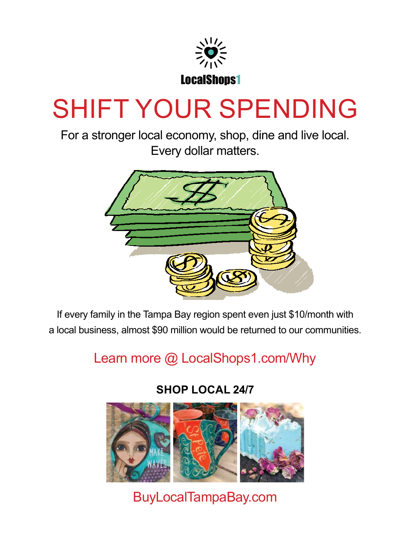

# SHIFT YOUR SPENDING<br>For a stronger local economy, shop, dine and live local.

For a stronger local economy, shop, dine and live local. Every dollar matters.



If every family in the Tampa Bay region spent even just \$10/month with a local business, almost \$90 million would be returned to our communities.

Learn more @ LocalShops1.com/Why Learn more @ LocalShops1.com/Why

**SHOP LOCAL 24/7** 



BuyLocalTampaBay.com **buylocaltampabay.com**